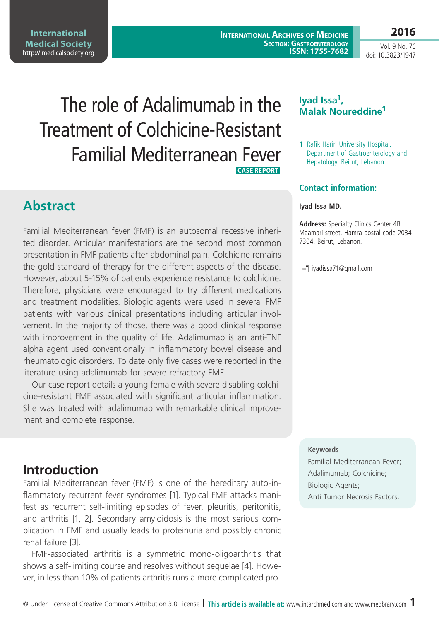**International Medical Society**  <http://imedicalsociety.org>

**International Archives of Medicine Section: Gastroenterology ISSN: 1755-7682** **2016**

Vol. 9 No. 76 doi: 10.3823/1947

# The role of Adalimumab in the Treatment of Colchicine-Resistant Familial Mediterranean Fever  **Case Report**

**Abstract**

Familial Mediterranean fever (FMF) is an autosomal recessive inherited disorder. Articular manifestations are the second most common presentation in FMF patients after abdominal pain. Colchicine remains the gold standard of therapy for the different aspects of the disease. However, about 5-15% of patients experience resistance to colchicine. Therefore, physicians were encouraged to try different medications and treatment modalities. Biologic agents were used in several FMF patients with various clinical presentations including articular involvement. In the majority of those, there was a good clinical response with improvement in the quality of life. Adalimumab is an anti-TNF alpha agent used conventionally in inflammatory bowel disease and rheumatologic disorders. To date only five cases were reported in the literature using adalimumab for severe refractory FMF.

Our case report details a young female with severe disabling colchicine-resistant FMF associated with significant articular inflammation. She was treated with adalimumab with remarkable clinical improvement and complete response.

### **Iyad Issa1, Malak Noureddine1**

**1** Rafik Hariri University Hospital. Department of Gastroenterology and Hepatology. Beirut, Lebanon.

### **Contact information:**

#### **Iyad Issa MD.**

**Address:** Specialty Clinics Center 4B. Maamari street. Hamra postal code 2034 7304. Beirut, Lebanon.

 $\equiv$ iyadissa71@gmail.com

#### **Keywords**

Familial Mediterranean Fever; Adalimumab; Colchicine; Biologic Agents; Anti Tumor Necrosis Factors.

# **Introduction**

Familial Mediterranean fever (FMF) is one of the hereditary auto-inflammatory recurrent fever syndromes [1]. Typical FMF attacks manifest as recurrent self-limiting episodes of fever, pleuritis, peritonitis, and arthritis [1, 2]. Secondary amyloidosis is the most serious complication in FMF and usually leads to proteinuria and possibly chronic renal failure [3].

FMF-associated arthritis is a symmetric mono-oligoarthritis that shows a self-limiting course and resolves without sequelae [4]. However, in less than 10% of patients arthritis runs a more complicated pro-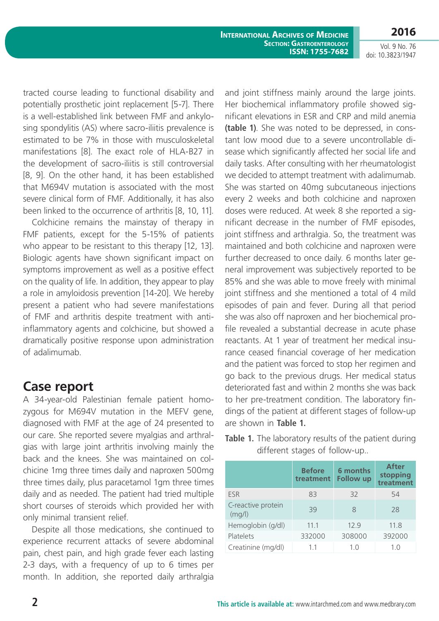**2016**

Vol. 9 No. 76 doi: 10.3823/1947

tracted course leading to functional disability and potentially prosthetic joint replacement [5-7]. There is a well-established link between FMF and ankylosing spondylitis (AS) where sacro-iliitis prevalence is estimated to be 7% in those with musculoskeletal manifestations [8]. The exact role of HLA-B27 in the development of sacro-iliitis is still controversial [8, 9]. On the other hand, it has been established that M694V mutation is associated with the most severe clinical form of FMF. Additionally, it has also been linked to the occurrence of arthritis [8, 10, 11].

Colchicine remains the mainstay of therapy in FMF patients, except for the 5-15% of patients who appear to be resistant to this therapy [12, 13]. Biologic agents have shown significant impact on symptoms improvement as well as a positive effect on the quality of life. In addition, they appear to play a role in amyloidosis prevention [14-20]. We hereby present a patient who had severe manifestations of FMF and arthritis despite treatment with antiinflammatory agents and colchicine, but showed a dramatically positive response upon administration of adalimumab.

### **Case report**

A 34-year-old Palestinian female patient homozygous for M694V mutation in the MEFV gene, diagnosed with FMF at the age of 24 presented to our care. She reported severe myalgias and arthralgias with large joint arthritis involving mainly the back and the knees. She was maintained on colchicine 1mg three times daily and naproxen 500mg three times daily, plus paracetamol 1gm three times daily and as needed. The patient had tried multiple short courses of steroids which provided her with only minimal transient relief.

Despite all those medications, she continued to experience recurrent attacks of severe abdominal pain, chest pain, and high grade fever each lasting 2-3 days, with a frequency of up to 6 times per month. In addition, she reported daily arthralgia

and joint stiffness mainly around the large joints. Her biochemical inflammatory profile showed significant elevations in ESR and CRP and mild anemia **(table 1)**. She was noted to be depressed, in constant low mood due to a severe uncontrollable disease which significantly affected her social life and daily tasks. After consulting with her rheumatologist we decided to attempt treatment with adalimumab. She was started on 40mg subcutaneous injections every 2 weeks and both colchicine and naproxen doses were reduced. At week 8 she reported a significant decrease in the number of FMF episodes, joint stiffness and arthralgia. So, the treatment was maintained and both colchicine and naproxen were further decreased to once daily. 6 months later general improvement was subjectively reported to be 85% and she was able to move freely with minimal joint stiffness and she mentioned a total of 4 mild episodes of pain and fever. During all that period she was also off naproxen and her biochemical profile revealed a substantial decrease in acute phase reactants. At 1 year of treatment her medical insurance ceased financial coverage of her medication and the patient was forced to stop her regimen and go back to the previous drugs. Her medical status deteriorated fast and within 2 months she was back to her pre-treatment condition. The laboratory findings of the patient at different stages of follow-up are shown in **Table 1.**

|                              | <b>Before</b><br>treatment | 6 months<br><b>Follow up</b> | <b>After</b><br>stopping<br>treatment |
|------------------------------|----------------------------|------------------------------|---------------------------------------|
| <b>FSR</b>                   | 83                         | 32                           | 54                                    |
| C-reactive protein<br>(mq/l) | 39                         | 8                            | 28                                    |
| Hemoglobin (g/dl)            | 11.1                       | 12.9                         | 11.8                                  |
| Platelets                    | 332000                     | 308000                       | 392000                                |
| Creatinine (mg/dl)           | 1.1                        | 1.0                          | 1.0                                   |

**Table 1.** The laboratory results of the patient during different stages of follow-up..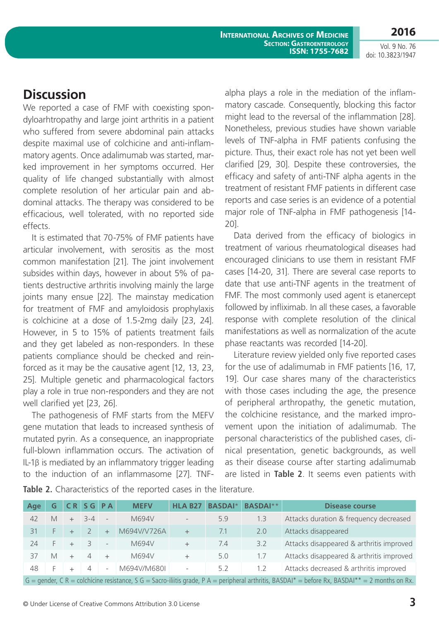**International Archives of Medicine Section: Gastroenterology ISSN: 1755-7682**

**2016** Vol. 9 No. 76

doi: 10.3823/1947

# **Discussion**

We reported a case of FMF with coexisting spondyloarhtropathy and large joint arthritis in a patient who suffered from severe abdominal pain attacks despite maximal use of colchicine and anti-inflammatory agents. Once adalimumab was started, marked improvement in her symptoms occurred. Her quality of life changed substantially with almost complete resolution of her articular pain and abdominal attacks. The therapy was considered to be efficacious, well tolerated, with no reported side effects.

It is estimated that 70-75% of FMF patients have articular involvement, with serositis as the most common manifestation [21]. The joint involvement subsides within days, however in about 5% of patients destructive arthritis involving mainly the large joints many ensue [22]. The mainstay medication for treatment of FMF and amyloidosis prophylaxis is colchicine at a dose of 1.5-2mg daily [23, 24]. However, in 5 to 15% of patients treatment fails and they get labeled as non-responders. In these patients compliance should be checked and reinforced as it may be the causative agent [12, 13, 23, 25]. Multiple genetic and pharmacological factors play a role in true non-responders and they are not well clarified yet [23, 26].

The pathogenesis of FMF starts from the MEFV gene mutation that leads to increased synthesis of mutated pyrin. As a consequence, an inappropriate full-blown inflammation occurs. The activation of IL-1β is mediated by an inflammatory trigger leading to the induction of an inflammasome [27]. TNF- alpha plays a role in the mediation of the inflammatory cascade. Consequently, blocking this factor might lead to the reversal of the inflammation [28]. Nonetheless, previous studies have shown variable levels of TNF-alpha in FMF patients confusing the picture. Thus, their exact role has not yet been well clarified [29, 30]. Despite these controversies, the efficacy and safety of anti-TNF alpha agents in the treatment of resistant FMF patients in different case reports and case series is an evidence of a potential major role of TNF-alpha in FMF pathogenesis [14- 20].

Data derived from the efficacy of biologics in treatment of various rheumatological diseases had encouraged clinicians to use them in resistant FMF cases [14-20, 31]. There are several case reports to date that use anti-TNF agents in the treatment of FMF. The most commonly used agent is etanercept followed by infliximab. In all these cases, a favorable response with complete resolution of the clinical manifestations as well as normalization of the acute phase reactants was recorded [14-20].

Literature review yielded only five reported cases for the use of adalimumab in FMF patients [16, 17, 19]. Our case shares many of the characteristics with those cases including the age, the presence of peripheral arthropathy, the genetic mutation, the colchicine resistance, and the marked improvement upon the initiation of adalimumab. The personal characteristics of the published cases, clinical presentation, genetic backgrounds, as well as their disease course after starting adalimumab are listed in **Table 2**. It seems even patients with

| Age                                                                                                                                               | G |  |       | <b>CRSGPA</b>            | <b>MEFV</b> | <b>HLA B27</b>           | <b>BASDAI</b> * | <b>BASDAI**</b> | <b>Disease course</b>                    |
|---------------------------------------------------------------------------------------------------------------------------------------------------|---|--|-------|--------------------------|-------------|--------------------------|-----------------|-----------------|------------------------------------------|
| 42                                                                                                                                                | M |  | $3-4$ |                          | M694V       |                          | 5.9             | 1.3             | Attacks duration & frequency decreased   |
| 31                                                                                                                                                |   |  |       | $+$                      | M694V/V726A | $+$                      | 7.1             | 2.0             | Attacks disappeared                      |
| 24                                                                                                                                                |   |  |       | $\overline{\phantom{a}}$ | M694V       |                          | 7.4             | 3.2             | Attacks disappeared & arthritis improved |
| 37                                                                                                                                                | M |  | 4     |                          | M694V       |                          | 5.0             | 1.7             | Attacks disappeared & arthritis improved |
| 48                                                                                                                                                |   |  | 4     | $\overline{\phantom{a}}$ | M694V/M680I | $\overline{\phantom{a}}$ | 5.2             | 1.2             | Attacks decreased & arthritis improved   |
| $G =$ gender, C R = colchicine resistance, S G = Sacro-iliitis grade, P A = peripheral arthritis, BASDAI* = before Rx, BASDAI** = 2 months on Rx. |   |  |       |                          |             |                          |                 |                 |                                          |

**Table 2.** Characteristics of the reported cases in the literature.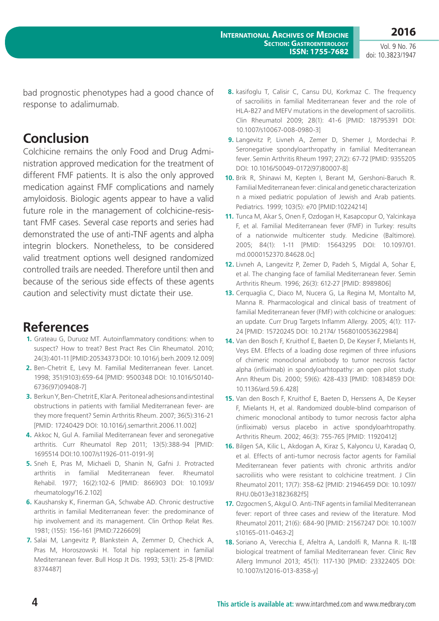Vol. 9 No. 76 doi: 10.3823/1947

bad prognostic phenotypes had a good chance of response to adalimumab.

# **Conclusion**

Colchicine remains the only Food and Drug Administration approved medication for the treatment of different FMF patients. It is also the only approved medication against FMF complications and namely amyloidosis. Biologic agents appear to have a valid future role in the management of colchicine-resistant FMF cases. Several case reports and series had demonstrated the use of anti-TNF agents and alpha integrin blockers. Nonetheless, to be considered valid treatment options well designed randomized controlled trails are needed. Therefore until then and because of the serious side effects of these agents caution and selectivity must dictate their use.

## **References**

- **1.** Grateau G, Duruoz MT. Autoinflammatory conditions: when to suspect? How to treat? Best Pract Res Clin Rheumatol. 2010; 24(3):401-11 [PMID:20534373 DOI: 10.1016/j.berh.2009.12.009]
- **2.** Ben-Chetrit E, Levy M. Familial Mediterranean fever. Lancet. 1998; 351(9103):659-64 [PMID: 9500348 DOI: 10.1016/S0140- 6736(97)09408-7]
- **3.** Berkun Y, Ben-Chetrit E, Klar A. Peritoneal adhesions and intestinal obstructions in patients with familial Mediterranean fever- are they more frequent? Semin Arthritis Rheum. 2007; 36(5):316-21 [PMID: 17240429 DOI: 10.1016/j.semarthrit.2006.11.002]
- **4.** Akkoc N, Gul A. Familial Mediterranean fever and seronegative arthritis. Curr Rheumatol Rep 2011; 13(5):388-94 [PMID: 1695514 DOI:10.1007/s11926-011-0191-9]
- **5.** Sneh E, Pras M, Michaeli D, Shanin N, Gafni J. Protracted arthritis in familial Mediterranean fever. Rheumatol Rehabil. 1977; 16(2):102-6 [PMID: 866903 DOI: 10.1093/ rheumatology/16.2.102]
- **6.** Kaushansky K, Finerman GA, Schwabe AD. Chronic destructive arthritis in familial Mediterranean fever: the predominance of hip involvement and its management. Clin Orthop Relat Res. 1981; (155): 156-161 [PMID:7226609]
- **7.** Salai M, Langevitz P, Blankstein A, Zemmer D, Chechick A, Pras M, Horoszowski H. Total hip replacement in familial Mediterranean fever. Bull Hosp Jt Dis. 1993; 53(1): 25-8 [PMID: 8374487]
- **8.** kasifoglu T, Calisir C, Cansu DU, Korkmaz C. The frequency of sacroiliitis in familial Mediterranean fever and the role of HLA-B27 and MEFV mutations in the development of sacroiliitis. Clin Rheumatol 2009; 28(1): 41-6 [PMID: 18795391 DOI: 10.1007/s10067-008-0980-3]
- **9.** Langevitz P, Livneh A, Zemer D, Shemer J, Mordechai P. Seronegative spondyloarthropathy in familial Mediterranean fever. Semin Arthritis Rheum 1997; 27(2): 67-72 [PMID: 9355205 DOI: 10.1016/S0049-0172(97)80007-8]
- **10.** Brik R, Shinawi M, Kepten I, Berant M, Gershoni-Baruch R. Familial Mediterranean fever: clinical and genetic characterization n a mixed pediatric population of Jewish and Arab patients. Pediatrics. 1999; 103(5): e70 [PMID:10224214]
- **11.** Tunca M, Akar S, Onen F, Ozdogan H, Kasapcopur O, Yalcinkaya F, et al. Familial Mediterranean fever (FMF) in Turkey: results of a nationwide multicenter study. Medicine (Baltimore). 2005; 84(1): 1-11 [PMID: 15643295 DOI: 10.1097/01. md.0000152370.84628.0c]
- **12.** Livneh A, Langevitz P, Zemer D, Padeh S, Migdal A, Sohar E, et al. The changing face of familial Mediterranean fever. Semin Arthritis Rheum. 1996; 26(3): 612-27 [PMID: 8989806]
- **13.** Cerquaglia C, Diaco M, Nucera G, La Regina M, Montalto M, Manna R. Pharmacological and clinical basis of treatment of familial Mediterranean fever (FMF) with colchicine or analogues: an update. Curr Drug Targets Inflamm Allergy. 2005; 4(1): 117- 24 [PMID: 15720245 DOI: 10.2174/ 1568010053622984]
- **14.** Van den Bosch F, Kruithof E, Baeten D, De Keyser F, Mielants H, Veys EM. Effects of a loading dose regimen of three infusions of chimeric monoclonal antiobody to tumor necrosis factor alpha (infliximab) in spondyloarhtopathy: an open pilot study. Ann Rheum Dis. 2000; 59(6): 428-433 [PMID: 10834859 DOI: 10.1136/ard.59.6.428]
- **15.** Van den Bosch F, Kruithof E, Baeten D, Herssens A, De Keyser F, Mielants H, et al. Randomized double-blind comparison of chimeric monoclonal antibody to tumor necrosis factor alpha (infliximab) versus placebo in active spondyloarhtropathy. Arthritis Rheum. 2002; 46(3): 755-765 [PMID: 11920412]
- **16.** Bilgen SA, Kilic L, Akdogan A, Kiraz S, Kalyoncu U, Karadaq O, et al. Effects of anti-tumor necrosis factor agents for Familial Mediterranean fever patients with chronic arthritis and/or sacroiliitis who were resistant to colchicine treatment. J Clin Rheumatol 2011; 17(7): 358-62 [PMID: 21946459 DOI: 10.1097/ RHU.0b013e31823682f5]
- **17.** Ozgocmen S, Akgul O. Anti-TNF agents in familial Mediterranean fever: report of three cases and review of the literature. Mod Rheumatol 2011; 21(6): 684-90 [PMID: 21567247 DOI: 10.1007/ s10165-011-0463-2]
- 18. Soriano A, Verecchia E, Afeltra A, Landolfi R, Manna R. IL-1 biological treatment of familial Mediterranean fever. Clinic Rev Allerg Immunol 2013; 45(1): 117-130 [PMID: 23322405 DOI: 10.1007/s12016-013-8358-y]